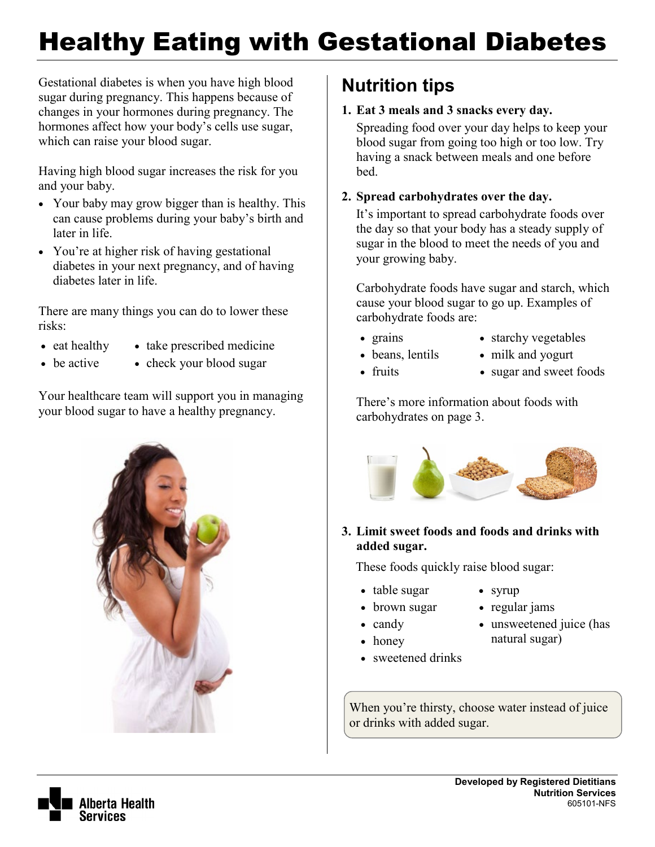# Healthy Eating with Gestational Diabetes

Gestational diabetes is when you have high blood sugar during pregnancy. This happens because of changes in your hormones during pregnancy. The hormones affect how your body's cells use sugar, which can raise your blood sugar.

Having high blood sugar increases the risk for you and your baby.

- Your baby may grow bigger than is healthy. This can cause problems during your baby's birth and later in life.
- You're at higher risk of having gestational diabetes in your next pregnancy, and of having diabetes later in life.

There are many things you can do to lower these risks:

- eat healthy
	- take prescribed medicine
- be active
- check your blood sugar

Your healthcare team will support you in managing your blood sugar to have a healthy pregnancy.



## **Nutrition tips**

### **1. Eat 3 meals and 3 snacks every day.**

Spreading food over your day helps to keep your blood sugar from going too high or too low. Try having a snack between meals and one before bed.

### **2. Spread carbohydrates over the day.**

It's important to spread carbohydrate foods over the day so that your body has a steady supply of sugar in the blood to meet the needs of you and your growing baby.

Carbohydrate foods have sugar and starch, which cause your blood sugar to go up. Examples of carbohydrate foods are:

• grains

• fruits

• beans, lentils

- starchy vegetables
- milk and yogurt
- sugar and sweet foods

• regular jams

natural sugar)

• unsweetened juice (has

There's more information about foods with carbohydrates on page 3.



### **3. Limit sweet foods and foods and drinks with added sugar.**

These foods quickly raise blood sugar:

- table sugar • syrup
- brown sugar
- candy
- honey
- sweetened drinks

When you're thirsty, choose water instead of juice or drinks with added sugar.

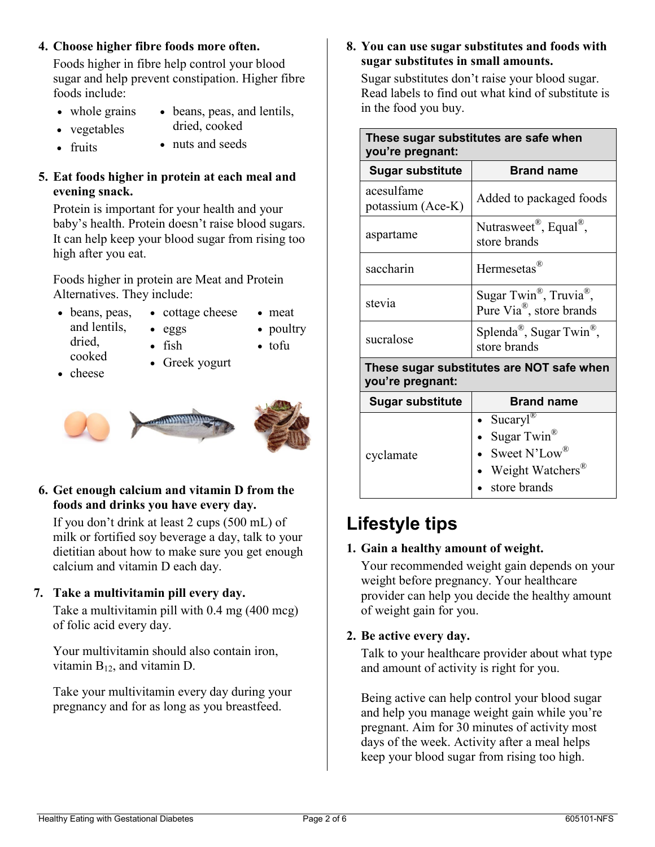### **4. Choose higher fibre foods more often.**

Foods higher in fibre help control your blood sugar and help prevent constipation. Higher fibre foods include:

- whole grains
- beans, peas, and lentils, dried, cooked
- vegetables • fruits • nuts and seeds

### **5. Eat foods higher in protein at each meal and evening snack.**

Protein is important for your health and your baby's health. Protein doesn't raise blood sugars. It can help keep your blood sugar from rising too high after you eat.

Foods higher in protein are Meat and Protein Alternatives. They include:

- beans, peas, and lentils, dried, cooked
- eggs • fish

• cottage cheese

• poultry • tofu

• meat

• cheese

• Greek yogurt



**6. Get enough calcium and vitamin D from the foods and drinks you have every day.**

If you don't drink at least 2 cups (500 mL) of milk or fortified soy beverage a day, talk to your dietitian about how to make sure you get enough calcium and vitamin D each day.

### **7. Take a multivitamin pill every day.**

Take a multivitamin pill with 0.4 mg (400 mcg) of folic acid every day.

Your multivitamin should also contain iron, vitamin  $B_{12}$ , and vitamin D.

Take your multivitamin every day during your pregnancy and for as long as you breastfeed.

#### **8. You can use sugar substitutes and foods with sugar substitutes in small amounts.**

Sugar substitutes don't raise your blood sugar. Read labels to find out what kind of substitute is in the food you buy.

| These sugar substitutes are safe when<br>you're pregnant:     |                                                                                                                             |  |
|---------------------------------------------------------------|-----------------------------------------------------------------------------------------------------------------------------|--|
| <b>Sugar substitute</b>                                       | <b>Brand name</b>                                                                                                           |  |
| acesulfame<br>potassium (Ace-K)                               | Added to packaged foods                                                                                                     |  |
| aspartame                                                     | Nutrasweet <sup>®</sup> , Equal <sup>®</sup> ,<br>store brands                                                              |  |
| saccharin                                                     | Hermesetas <sup>®</sup>                                                                                                     |  |
| stevia                                                        | Sugar Twin <sup>®</sup> , Truvia <sup>®</sup> ,<br>Pure Via <sup>®</sup> , store brands                                     |  |
| sucralose                                                     | Splenda <sup>®</sup> , Sugar Twin <sup>®</sup> ,<br>store brands                                                            |  |
| These sugar substitutes are NOT safe when<br>you're pregnant: |                                                                                                                             |  |
| <b>Sugar substitute</b>                                       | <b>Brand name</b>                                                                                                           |  |
| cyclamate                                                     | Sucaryl <sup>®</sup><br>Sugar Twin <sup>®</sup><br>Sweet N'Low <sup>®</sup><br>Weight Watchers <sup>®</sup><br>store brands |  |

## **Lifestyle tips**

### **1. Gain a healthy amount of weight.**

Your recommended weight gain depends on your weight before pregnancy. Your healthcare provider can help you decide the healthy amount of weight gain for you.

### **2. Be active every day.**

Talk to your healthcare provider about what type and amount of activity is right for you.

Being active can help control your blood sugar and help you manage weight gain while you're pregnant. Aim for 30 minutes of activity most days of the week. Activity after a meal helps keep your blood sugar from rising too high.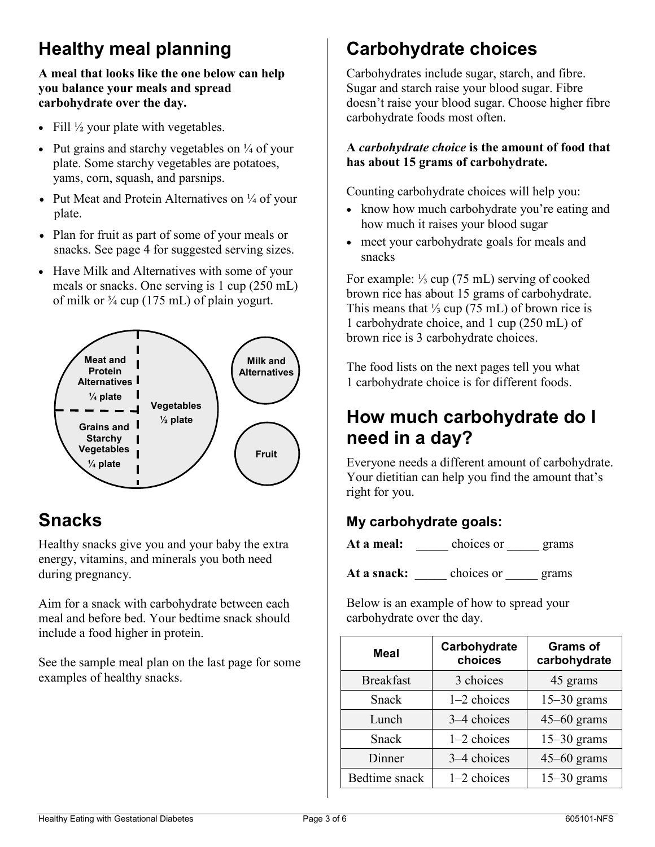## **Healthy meal planning**

### **A meal that looks like the one below can help you balance your meals and spread carbohydrate over the day.**

- Fill  $\frac{1}{2}$  your plate with vegetables.
- Put grains and starchy vegetables on  $\frac{1}{4}$  of your plate. Some starchy vegetables are potatoes, yams, corn, squash, and parsnips.
- Put Meat and Protein Alternatives on  $\frac{1}{4}$  of your plate.
- Plan for fruit as part of some of your meals or snacks. See page 4 for suggested serving sizes.
- Have Milk and Alternatives with some of your meals or snacks. One serving is 1 cup (250 mL) of milk or  $\frac{3}{4}$  cup (175 mL) of plain yogurt.



## **Snacks**

Healthy snacks give you and your baby the extra energy, vitamins, and minerals you both need during pregnancy.

Aim for a snack with carbohydrate between each meal and before bed. Your bedtime snack should include a food higher in protein.

See the sample meal plan on the last page for some examples of healthy snacks.

## **Carbohydrate choices**

Carbohydrates include sugar, starch, and fibre. Sugar and starch raise your blood sugar. Fibre doesn't raise your blood sugar. Choose higher fibre carbohydrate foods most often.

### **A** *carbohydrate choice* **is the amount of food that has about 15 grams of carbohydrate.**

Counting carbohydrate choices will help you:

- know how much carbohydrate you're eating and how much it raises your blood sugar
- meet your carbohydrate goals for meals and snacks

For example: ⅓ cup (75 mL) serving of cooked brown rice has about 15 grams of carbohydrate. This means that  $\frac{1}{3}$  cup (75 mL) of brown rice is 1 carbohydrate choice, and 1 cup (250 mL) of brown rice is 3 carbohydrate choices.

The food lists on the next pages tell you what 1 carbohydrate choice is for different foods.

## **How much carbohydrate do I need in a day?**

Everyone needs a different amount of carbohydrate. Your dietitian can help you find the amount that's right for you.

### **My carbohydrate goals:**

At a meal: choices or <u>grams</u>

At a **snack:** \_\_\_\_ choices or \_\_\_\_ grams

Below is an example of how to spread your carbohydrate over the day.

| <b>Meal</b>      | Carbohydrate<br>choices | <b>Grams of</b><br>carbohydrate |
|------------------|-------------------------|---------------------------------|
| <b>Breakfast</b> | 3 choices               | 45 grams                        |
| Snack            | 1-2 choices             | $15-30$ grams                   |
| Lunch            | 3–4 choices             | $45-60$ grams                   |
| Snack            | 1-2 choices             | $15-30$ grams                   |
| Dinner           | 3–4 choices             | $45-60$ grams                   |
| Bedtime snack    | 1-2 choices             | $15-30$ grams                   |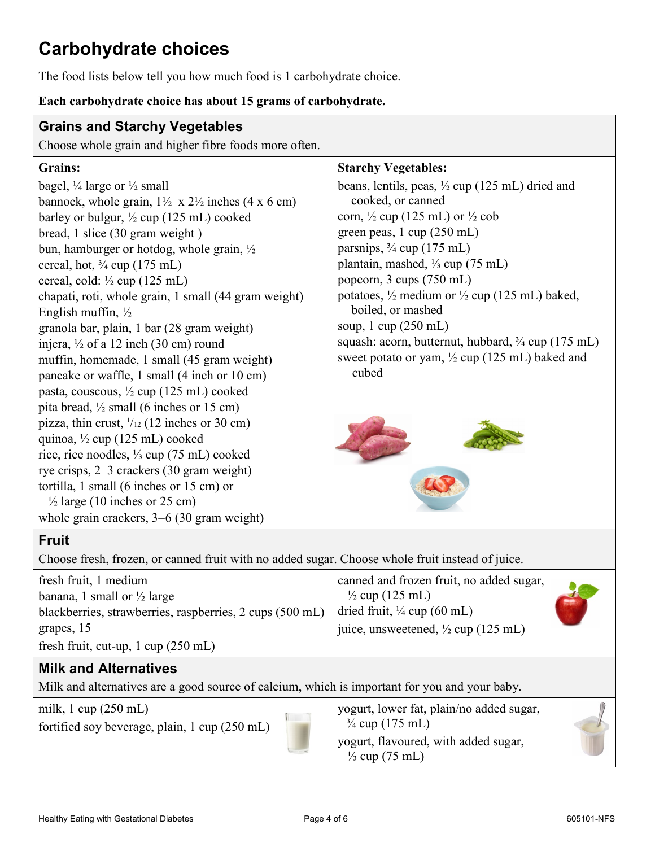## **Carbohydrate choices**

The food lists below tell you how much food is 1 carbohydrate choice.

#### **Each carbohydrate choice has about 15 grams of carbohydrate.**

### **Grains and Starchy Vegetables**

Choose whole grain and higher fibre foods more often.

### **Grains:**

bagel,  $\frac{1}{4}$  large or  $\frac{1}{2}$  small bannock, whole grain,  $1\frac{1}{2}$  x  $2\frac{1}{2}$  inches (4 x 6 cm) barley or bulgur,  $\frac{1}{2}$  cup (125 mL) cooked bread, 1 slice (30 gram weight ) bun, hamburger or hotdog, whole grain, ½ cereal, hot,  $\frac{3}{4}$  cup (175 mL) cereal, cold:  $\frac{1}{2}$  cup (125 mL) chapati, roti, whole grain, 1 small (44 gram weight) English muffin, ½ granola bar, plain, 1 bar (28 gram weight) injera, ½ of a 12 inch (30 cm) round muffin, homemade, 1 small (45 gram weight) pancake or waffle, 1 small (4 inch or 10 cm) pasta, couscous, ½ cup (125 mL) cooked pita bread,  $\frac{1}{2}$  small (6 inches or 15 cm) pizza, thin crust,  $\frac{1}{12}$  (12 inches or 30 cm) quinoa, ½ cup (125 mL) cooked rice, rice noodles, ⅓ cup (75 mL) cooked rye crisps, 2–3 crackers (30 gram weight) tortilla, 1 small (6 inches or 15 cm) or  $\frac{1}{2}$  large (10 inches or 25 cm) whole grain crackers, 3−6 (30 gram weight)

#### **Starchy Vegetables:**

beans, lentils, peas, ½ cup (125 mL) dried and cooked, or canned corn,  $\frac{1}{2}$  cup (125 mL) or  $\frac{1}{2}$  cob green peas, 1 cup (250 mL) parsnips,  $\frac{3}{4}$  cup (175 mL) plantain, mashed, ⅓ cup (75 mL) popcorn, 3 cups (750 mL) potatoes,  $\frac{1}{2}$  medium or  $\frac{1}{2}$  cup (125 mL) baked, boiled, or mashed soup, 1 cup (250 mL) squash: acorn, butternut, hubbard,  $\frac{3}{4}$  cup (175 mL) sweet potato or yam,  $\frac{1}{2}$  cup (125 mL) baked and cubed



### **Fruit**

Choose fresh, frozen, or canned fruit with no added sugar. Choose whole fruit instead of juice.

fresh fruit, 1 medium banana, 1 small or  $\frac{1}{2}$  large blackberries, strawberries, raspberries, 2 cups (500 mL) grapes, 15 fresh fruit, cut-up, 1 cup (250 mL)

canned and frozen fruit, no added sugar,  $\frac{1}{2}$  cup (125 mL) dried fruit,  $\frac{1}{4}$  cup (60 mL) juice, unsweetened, ½ cup (125 mL)



### **Milk and Alternatives**

Milk and alternatives are a good source of calcium, which is important for you and your baby.

milk, 1 cup (250 mL)

fortified soy beverage, plain, 1 cup (250 mL)



yogurt, lower fat, plain/no added sugar,  $\frac{3}{4}$  cup (175 mL) yogurt, flavoured, with added sugar,  $\frac{1}{3}$  cup (75 mL)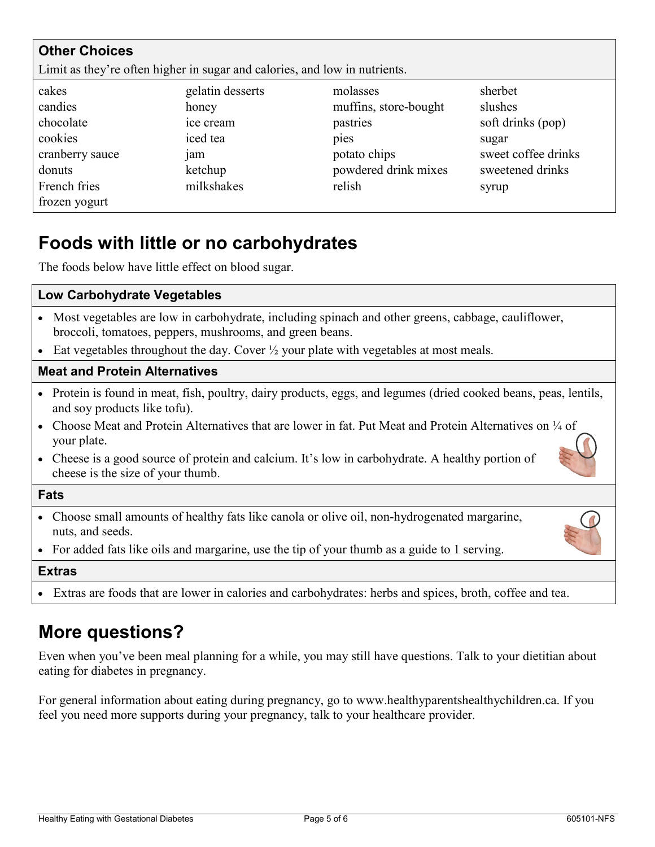| <b>Other Choices</b>                                                       |                  |                       |                     |  |
|----------------------------------------------------------------------------|------------------|-----------------------|---------------------|--|
| Limit as they're often higher in sugar and calories, and low in nutrients. |                  |                       |                     |  |
| cakes                                                                      | gelatin desserts | molasses              | sherbet             |  |
| candies                                                                    | honey            | muffins, store-bought | slushes             |  |
| chocolate                                                                  | ice cream        | pastries              | soft drinks (pop)   |  |
| cookies                                                                    | iced tea         | pies                  | sugar               |  |
| cranberry sauce                                                            | <sub>1</sub> am  | potato chips          | sweet coffee drinks |  |
| donuts                                                                     | ketchup          | powdered drink mixes  | sweetened drinks    |  |
| French fries                                                               | milkshakes       | relish                | syrup               |  |
| frozen yogurt                                                              |                  |                       |                     |  |

## **Foods with little or no carbohydrates**

The foods below have little effect on blood sugar.

| <b>Low Carbohydrate Vegetables</b>                                                                                                                               |
|------------------------------------------------------------------------------------------------------------------------------------------------------------------|
| • Most vegetables are low in carbohydrate, including spinach and other greens, cabbage, cauliflower,<br>broccoli, tomatoes, peppers, mushrooms, and green beans. |
| • Eat vegetables throughout the day. Cover $\frac{1}{2}$ your plate with vegetables at most meals.                                                               |
| <b>Meat and Protein Alternatives</b>                                                                                                                             |
| • Protein is found in meat, fish, poultry, dairy products, eggs, and legumes (dried cooked beans, peas, lentils,<br>and soy products like tofu).                 |
| Choose Meat and Protein Alternatives that are lower in fat. Put Meat and Protein Alternatives on $\frac{1}{4}$ of<br>$\bullet$<br>your plate.                    |
| • Cheese is a good source of protein and calcium. It's low in carbohydrate. A healthy portion of<br>cheese is the size of your thumb.                            |
| <b>Fats</b>                                                                                                                                                      |
| • Choose small amounts of healthy fats like canola or olive oil, non-hydrogenated margarine,<br>nuts, and seeds.                                                 |
| • For added fats like oils and margarine, use the tip of your thumb as a guide to 1 serving.                                                                     |
| <b>Extras</b>                                                                                                                                                    |
| • Extras are foods that are lower in calories and carbohydrates: herbs and spices, broth, coffee and tea.                                                        |

## **More questions?**

Even when you've been meal planning for a while, you may still have questions. Talk to your dietitian about eating for diabetes in pregnancy.

For general information about eating during pregnancy, go to www.healthyparentshealthychildren.ca. If you feel you need more supports during your pregnancy, talk to your healthcare provider.